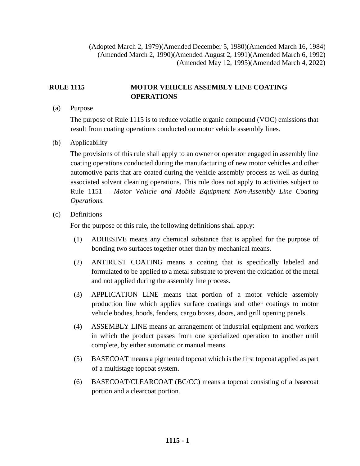(Adopted March 2, 1979)(Amended December 5, 1980)(Amended March 16, 1984) (Amended March 2, 1990)(Amended August 2, 1991)(Amended March 6, 1992) (Amended May 12, 1995)(Amended March 4, 2022)

## **RULE 1115 MOTOR VEHICLE ASSEMBLY LINE COATING OPERATIONS**

(a) Purpose

The purpose of Rule 1115 is to reduce volatile organic compound (VOC) emissions that result from coating operations conducted on motor vehicle assembly lines.

(b) Applicability

The provisions of this rule shall apply to an owner or operator engaged in assembly line coating operations conducted during the manufacturing of new motor vehicles and other automotive parts that are coated during the vehicle assembly process as well as during associated solvent cleaning operations. This rule does not apply to activities subject to Rule 1151 – *Motor Vehicle and Mobile Equipment Non-Assembly Line Coating Operations*.

(c) Definitions

For the purpose of this rule, the following definitions shall apply:

- (1) ADHESIVE means any chemical substance that is applied for the purpose of bonding two surfaces together other than by mechanical means.
- (2) ANTIRUST COATING means a coating that is specifically labeled and formulated to be applied to a metal substrate to prevent the oxidation of the metal and not applied during the assembly line process.
- (3) APPLICATION LINE means that portion of a motor vehicle assembly production line which applies surface coatings and other coatings to motor vehicle bodies, hoods, fenders, cargo boxes, doors, and grill opening panels.
- (4) ASSEMBLY LINE means an arrangement of industrial equipment and workers in which the product passes from one specialized operation to another until complete, by either automatic or manual means.
- (5) BASECOAT means a pigmented topcoat which is the first topcoat applied as part of a multistage topcoat system.
- (6) BASECOAT/CLEARCOAT (BC/CC) means a topcoat consisting of a basecoat portion and a clearcoat portion.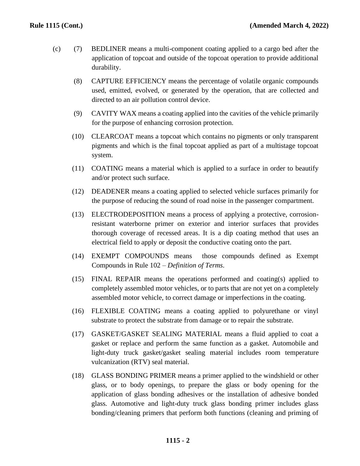- (c) (7) BEDLINER means a multi-component coating applied to a cargo bed after the application of topcoat and outside of the topcoat operation to provide additional durability.
	- (8) CAPTURE EFFICIENCY means the percentage of volatile organic compounds used, emitted, evolved, or generated by the operation, that are collected and directed to an air pollution control device.
	- (9) CAVITY WAX means a coating applied into the cavities of the vehicle primarily for the purpose of enhancing corrosion protection.
	- (10) CLEARCOAT means a topcoat which contains no pigments or only transparent pigments and which is the final topcoat applied as part of a multistage topcoat system.
	- (11) COATING means a material which is applied to a surface in order to beautify and/or protect such surface.
	- (12) DEADENER means a coating applied to selected vehicle surfaces primarily for the purpose of reducing the sound of road noise in the passenger compartment.
	- (13) ELECTRODEPOSITION means a process of applying a protective, corrosionresistant waterborne primer on exterior and interior surfaces that provides thorough coverage of recessed areas. It is a dip coating method that uses an electrical field to apply or deposit the conductive coating onto the part.
	- (14) EXEMPT COMPOUNDS means those compounds defined as Exempt Compounds in Rule 102 – *Definition of Terms*.
	- (15) FINAL REPAIR means the operations performed and coating(s) applied to completely assembled motor vehicles, or to parts that are not yet on a completely assembled motor vehicle, to correct damage or imperfections in the coating.
	- (16) FLEXIBLE COATING means a coating applied to polyurethane or vinyl substrate to protect the substrate from damage or to repair the substrate.
	- (17) GASKET/GASKET SEALING MATERIAL means a fluid applied to coat a gasket or replace and perform the same function as a gasket. Automobile and light-duty truck gasket/gasket sealing material includes room temperature vulcanization (RTV) seal material.
	- (18) GLASS BONDING PRIMER means a primer applied to the windshield or other glass, or to body openings, to prepare the glass or body opening for the application of glass bonding adhesives or the installation of adhesive bonded glass. Automotive and light-duty truck glass bonding primer includes glass bonding/cleaning primers that perform both functions (cleaning and priming of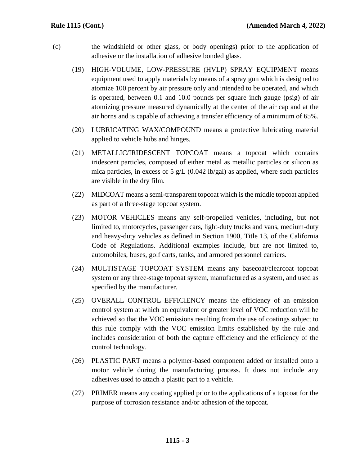- (c) the windshield or other glass, or body openings) prior to the application of adhesive or the installation of adhesive bonded glass.
	- (19) HIGH-VOLUME, LOW-PRESSURE (HVLP) SPRAY EQUIPMENT means equipment used to apply materials by means of a spray gun which is designed to atomize 100 percent by air pressure only and intended to be operated, and which is operated, between 0.1 and 10.0 pounds per square inch gauge (psig) of air atomizing pressure measured dynamically at the center of the air cap and at the air horns and is capable of achieving a transfer efficiency of a minimum of 65%.
	- (20) LUBRICATING WAX/COMPOUND means a protective lubricating material applied to vehicle hubs and hinges.
	- (21) METALLIC/IRIDESCENT TOPCOAT means a topcoat which contains iridescent particles, composed of either metal as metallic particles or silicon as mica particles, in excess of 5 g/L  $(0.042 \text{ lb/gal})$  as applied, where such particles are visible in the dry film.
	- (22) MIDCOAT means a semi-transparent topcoat which is the middle topcoat applied as part of a three-stage topcoat system.
	- (23) MOTOR VEHICLES means any self-propelled vehicles, including, but not limited to, motorcycles, passenger cars, light-duty trucks and vans, medium-duty and heavy-duty vehicles as defined in Section 1900, Title 13, of the California Code of Regulations. Additional examples include, but are not limited to, automobiles, buses, golf carts, tanks, and armored personnel carriers.
	- (24) MULTISTAGE TOPCOAT SYSTEM means any basecoat/clearcoat topcoat system or any three-stage topcoat system, manufactured as a system, and used as specified by the manufacturer.
	- (25) OVERALL CONTROL EFFICIENCY means the efficiency of an emission control system at which an equivalent or greater level of VOC reduction will be achieved so that the VOC emissions resulting from the use of coatings subject to this rule comply with the VOC emission limits established by the rule and includes consideration of both the capture efficiency and the efficiency of the control technology.
	- (26) PLASTIC PART means a polymer-based component added or installed onto a motor vehicle during the manufacturing process. It does not include any adhesives used to attach a plastic part to a vehicle.
	- (27) PRIMER means any coating applied prior to the applications of a topcoat for the purpose of corrosion resistance and/or adhesion of the topcoat.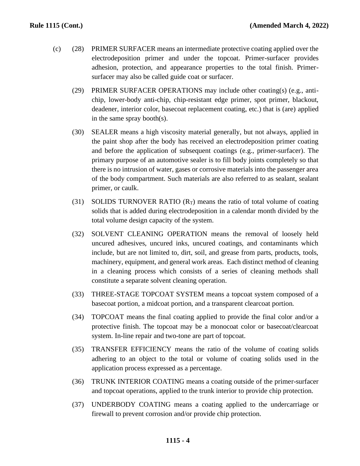- (c) (28) PRIMER SURFACER means an intermediate protective coating applied over the electrodeposition primer and under the topcoat. Primer-surfacer provides adhesion, protection, and appearance properties to the total finish. Primersurfacer may also be called guide coat or surfacer.
	- (29) PRIMER SURFACER OPERATIONS may include other coating(s) (e.g., antichip, lower-body anti-chip, chip-resistant edge primer, spot primer, blackout, deadener, interior color, basecoat replacement coating, etc.) that is (are) applied in the same spray booth(s).
	- (30) SEALER means a high viscosity material generally, but not always, applied in the paint shop after the body has received an electrodeposition primer coating and before the application of subsequent coatings (e.g., primer-surfacer). The primary purpose of an automotive sealer is to fill body joints completely so that there is no intrusion of water, gases or corrosive materials into the passenger area of the body compartment. Such materials are also referred to as sealant, sealant primer, or caulk.
	- (31) SOLIDS TURNOVER RATIO  $(R_T)$  means the ratio of total volume of coating solids that is added during electrodeposition in a calendar month divided by the total volume design capacity of the system.
	- (32) SOLVENT CLEANING OPERATION means the removal of loosely held uncured adhesives, uncured inks, uncured coatings, and contaminants which include, but are not limited to, dirt, soil, and grease from parts, products, tools, machinery, equipment, and general work areas. Each distinct method of cleaning in a cleaning process which consists of a series of cleaning methods shall constitute a separate solvent cleaning operation.
	- (33) THREE-STAGE TOPCOAT SYSTEM means a topcoat system composed of a basecoat portion, a midcoat portion, and a transparent clearcoat portion.
	- (34) TOPCOAT means the final coating applied to provide the final color and/or a protective finish. The topcoat may be a monocoat color or basecoat/clearcoat system. In-line repair and two-tone are part of topcoat.
	- (35) TRANSFER EFFICIENCY means the ratio of the volume of coating solids adhering to an object to the total or volume of coating solids used in the application process expressed as a percentage.
	- (36) TRUNK INTERIOR COATING means a coating outside of the primer-surfacer and topcoat operations, applied to the trunk interior to provide chip protection.
	- (37) UNDERBODY COATING means a coating applied to the undercarriage or firewall to prevent corrosion and/or provide chip protection.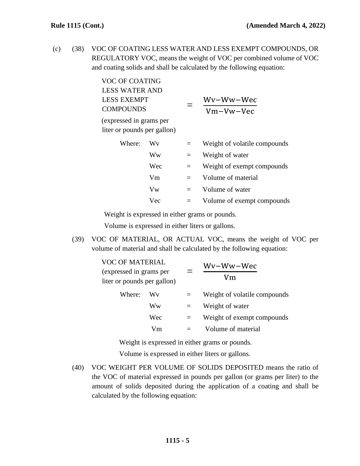(c) (38) VOC OF COATING LESS WATER AND LESS EXEMPT COMPOUNDS, OR REGULATORY VOC, means the weight of VOC per combined volume of VOC and coating solids and shall be calculated by the following equation:

| <b>VOC OF COATING</b>                                  |     |     |                              |
|--------------------------------------------------------|-----|-----|------------------------------|
| <b>LESS WATER AND</b>                                  |     |     |                              |
| <b>LESS EXEMPT</b>                                     |     |     | Wy-Ww-Wec                    |
| <b>COMPOUNDS</b>                                       |     |     | Vm-Vw-Vec                    |
| (expressed in grams per<br>liter or pounds per gallon) |     |     |                              |
| Where:                                                 | Wv  | $=$ | Weight of volatile compounds |
|                                                        | Ww  | $=$ | Weight of water              |
|                                                        | Wec | $=$ | Weight of exempt compounds   |
|                                                        | Vm  | $=$ | Volume of material           |
|                                                        | Vw  | $=$ | Volume of water              |
|                                                        | Vec | $=$ | Volume of exempt compounds   |

Weight is expressed in either grams or pounds.

Volume is expressed in either liters or gallons.

(39) VOC OF MATERIAL, OR ACTUAL VOC, means the weight of VOC per volume of material and shall be calculated by the following equation:

| <b>VOC OF MATERIAL</b><br>(expressed in grams per<br>liter or pounds per gallon) |     |     | Wv-Ww-Wec<br>Vm              |  |
|----------------------------------------------------------------------------------|-----|-----|------------------------------|--|
| Where:                                                                           | Wv  | $=$ | Weight of volatile compounds |  |
|                                                                                  | Ww  |     | Weight of water              |  |
|                                                                                  | Wec | $=$ | Weight of exempt compounds   |  |
|                                                                                  | Vm  |     | Volume of material           |  |
|                                                                                  |     |     |                              |  |

Weight is expressed in either grams or pounds.

Volume is expressed in either liters or gallons.

(40) VOC WEIGHT PER VOLUME OF SOLIDS DEPOSITED means the ratio of the VOC of material expressed in pounds per gallon (or grams per liter) to the amount of solids deposited during the application of a coating and shall be calculated by the following equation: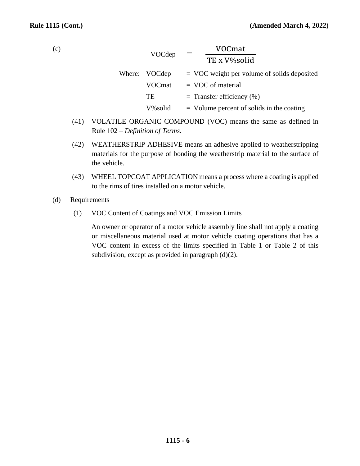(c)

|               | VOCmat                                        |
|---------------|-----------------------------------------------|
| VOCdep        | $\equiv$<br>TE x V%solid                      |
| Where: VOCdep | $=$ VOC weight per volume of solids deposited |
| VOCmat        | $=$ VOC of material                           |
| TE            | $=$ Transfer efficiency $(\%)$                |
| V%solid       | $=$ Volume percent of solids in the coating   |

- (41) VOLATILE ORGANIC COMPOUND (VOC) means the same as defined in Rule 102 – *Definition of Terms*.
- (42) WEATHERSTRIP ADHESIVE means an adhesive applied to weatherstripping materials for the purpose of bonding the weatherstrip material to the surface of the vehicle.
- (43) WHEEL TOPCOAT APPLICATION means a process where a coating is applied to the rims of tires installed on a motor vehicle.
- (d) Requirements
	- (1) VOC Content of Coatings and VOC Emission Limits

An owner or operator of a motor vehicle assembly line shall not apply a coating or miscellaneous material used at motor vehicle coating operations that has a VOC content in excess of the limits specified in Table 1 or Table 2 of this subdivision, except as provided in paragraph (d)(2).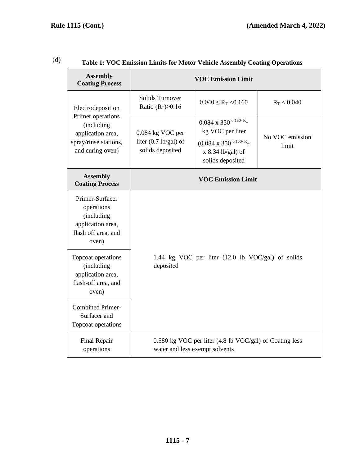| <b>Assembly</b><br><b>Coating Process</b>                                                                              |                                                                                           | Table 1. VOC Emission Linnus for Motor Venicle Assembly Coating Operations<br><b>VOC Emission Limit</b>                              |                          |
|------------------------------------------------------------------------------------------------------------------------|-------------------------------------------------------------------------------------------|--------------------------------------------------------------------------------------------------------------------------------------|--------------------------|
| Electrodeposition<br>Primer operations<br>(including<br>application area,<br>spray/rinse stations,<br>and curing oven) | Solids Turnover<br>Ratio $(R_T) \geq 0.16$                                                | $0.040 \leq R_T \leq 0.160$                                                                                                          | $R_T < 0.040$            |
|                                                                                                                        | 0.084 kg VOC per<br>liter $(0.7 \text{ lb/gal})$ of<br>solids deposited                   | 0.084 x 350 $^{0.160}R$ <sub>T</sub><br>kg VOC per liter<br>$(0.084 \times 350^{0.160-R}$ T<br>x 8.34 lb/gal) of<br>solids deposited | No VOC emission<br>limit |
| <b>Assembly</b><br><b>Coating Process</b>                                                                              |                                                                                           | <b>VOC Emission Limit</b>                                                                                                            |                          |
| Primer-Surfacer<br>operations<br>(including<br>application area,<br>flash off area, and<br>oven)                       |                                                                                           |                                                                                                                                      |                          |
| Topcoat operations<br>(including<br>application area,<br>flash-off area, and<br>oven)                                  | 1.44 kg VOC per liter (12.0 lb VOC/gal) of solids<br>deposited                            |                                                                                                                                      |                          |
| <b>Combined Primer-</b><br>Surfacer and<br>Topcoat operations                                                          |                                                                                           |                                                                                                                                      |                          |
| Final Repair<br>operations                                                                                             | 0.580 kg VOC per liter (4.8 lb VOC/gal) of Coating less<br>water and less exempt solvents |                                                                                                                                      |                          |

## (d) **Table 1: VOC Emission Limits for Motor Vehicle Assembly Coating Operations**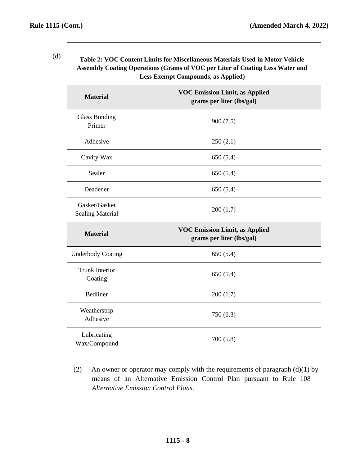(d) **Table 2: VOC Content Limits for Miscellaneous Materials Used in Motor Vehicle Assembly Coating Operations (Grams of VOC per Liter of Coating Less Water and Less Exempt Compounds, as Applied)**

| <b>Material</b>                          | <b>VOC Emission Limit, as Applied</b><br>grams per liter (lbs/gal) |
|------------------------------------------|--------------------------------------------------------------------|
| <b>Glass Bonding</b><br>Primer           | 900(7.5)                                                           |
| Adhesive                                 | 250(2.1)                                                           |
| Cavity Wax                               | 650(5.4)                                                           |
| Sealer                                   | 650(5.4)                                                           |
| Deadener                                 | 650(5.4)                                                           |
| Gasket/Gasket<br><b>Sealing Material</b> | 200(1.7)                                                           |
| <b>Material</b>                          | <b>VOC Emission Limit, as Applied</b><br>grams per liter (lbs/gal) |
| <b>Underbody Coating</b>                 | 650(5.4)                                                           |
| <b>Trunk Interior</b><br>Coating         | 650(5.4)                                                           |
| <b>Bedliner</b>                          | 200(1.7)                                                           |
| Weatherstrip<br>Adhesive                 | 750(6.3)                                                           |
| Lubricating<br>Wax/Compound              | 700(5.8)                                                           |

(2) An owner or operator may comply with the requirements of paragraph  $(d)(1)$  by means of an Alternative Emission Control Plan pursuant to Rule 108 – *Alternative Emission Control Plans*.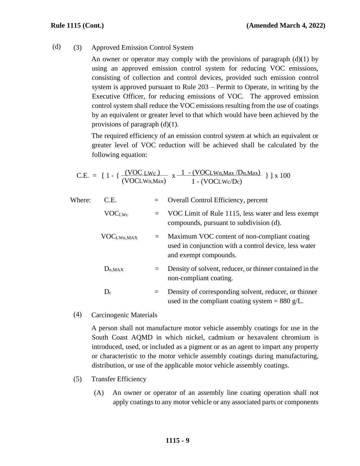(d) (3) Approved Emission Control System

An owner or operator may comply with the provisions of paragraph  $(d)(1)$  by using an approved emission control system for reducing VOC emissions, consisting of collection and control devices, provided such emission control system is approved pursuant to Rule 203 – Permit to Operate, in writing by the Executive Officer, for reducing emissions of VOC. The approved emission control system shall reduce the VOC emissions resulting from the use of coatings by an equivalent or greater level to that which would have been achieved by the provisions of paragraph  $(d)(1)$ .

The required efficiency of an emission control system at which an equivalent or greater level of VOC reduction will be achieved shall be calculated by the following equation:

C.E. = 
$$
[1 - {\frac{(VOC Lwc)}{(VOC L Wn, Max)}} x \frac{1 - (VOC L Wn, Max / Dn, Max)}{1 - (VOC L Wc / Dc)}}]
$$
 ] x 100

| Where: | C.E.                   | $=$ | Overall Control Efficiency, percent                                                                                            |
|--------|------------------------|-----|--------------------------------------------------------------------------------------------------------------------------------|
|        | <b>VOCLWc</b>          | $=$ | VOC Limit of Rule 1115, less water and less exempt<br>compounds, pursuant to subdivision (d).                                  |
|        | VOC <sub>LWn,MAX</sub> | $=$ | Maximum VOC content of non-compliant coating<br>used in conjunction with a control device, less water<br>and exempt compounds. |
|        | $D_{n,MAX}$            | $=$ | Density of solvent, reducer, or thinner contained in the<br>non-compliant coating.                                             |
|        | $D_c$                  | $=$ | Density of corresponding solvent, reducer, or thinner<br>used in the compliant coating system = 880 g/L.                       |

(4) Carcinogenic Materials

A person shall not manufacture motor vehicle assembly coatings for use in the South Coast AQMD in which nickel, cadmium or hexavalent chromium is introduced, used, or included as a pigment or as an agent to impart any property or characteristic to the motor vehicle assembly coatings during manufacturing, distribution, or use of the applicable motor vehicle assembly coatings.

- (5) Transfer Efficiency
	- (A) An owner or operator of an assembly line coating operation shall not apply coatings to any motor vehicle or any associated parts or components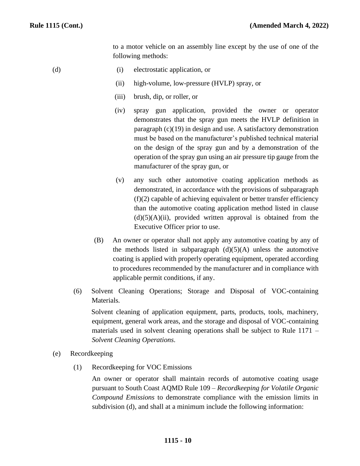to a motor vehicle on an assembly line except by the use of one of the following methods:

- (d) (i) electrostatic application, or
	- (ii) high-volume, low-pressure (HVLP) spray, or
	- (iii) brush, dip, or roller, or
	- (iv) spray gun application, provided the owner or operator demonstrates that the spray gun meets the HVLP definition in paragraph (c)(19) in design and use. A satisfactory demonstration must be based on the manufacturer's published technical material on the design of the spray gun and by a demonstration of the operation of the spray gun using an air pressure tip gauge from the manufacturer of the spray gun, or
	- (v) any such other automotive coating application methods as demonstrated, in accordance with the provisions of subparagraph  $(f)(2)$  capable of achieving equivalent or better transfer efficiency than the automotive coating application method listed in clause  $(d)(5)(A)(ii)$ , provided written approval is obtained from the Executive Officer prior to use.
	- (B) An owner or operator shall not apply any automotive coating by any of the methods listed in subparagraph  $(d)(5)(A)$  unless the automotive coating is applied with properly operating equipment, operated according to procedures recommended by the manufacturer and in compliance with applicable permit conditions, if any.
	- (6) Solvent Cleaning Operations; Storage and Disposal of VOC-containing Materials.

Solvent cleaning of application equipment, parts, products, tools, machinery, equipment, general work areas, and the storage and disposal of VOC-containing materials used in solvent cleaning operations shall be subject to Rule 1171 – *Solvent Cleaning Operations*.

- (e) Recordkeeping
	- (1) Recordkeeping for VOC Emissions

An owner or operator shall maintain records of automotive coating usage pursuant to South Coast AQMD Rule 109 – *Recordkeeping for Volatile Organic Compound Emissions* to demonstrate compliance with the emission limits in subdivision (d), and shall at a minimum include the following information:

## **1115 - 10**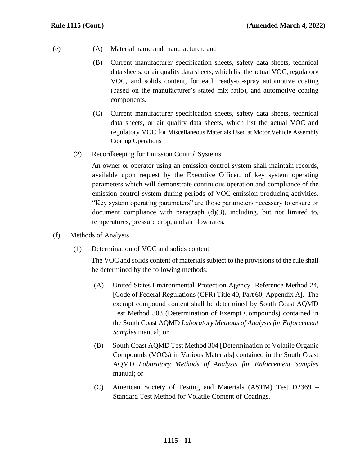- (e) (A) Material name and manufacturer; and
	- (B) Current manufacturer specification sheets, safety data sheets, technical data sheets, or air quality data sheets, which list the actual VOC, regulatory VOC, and solids content, for each ready-to-spray automotive coating (based on the manufacturer's stated mix ratio), and automotive coating components.
	- (C) Current manufacturer specification sheets, safety data sheets, technical data sheets, or air quality data sheets, which list the actual VOC and regulatory VOC for Miscellaneous Materials Used at Motor Vehicle Assembly Coating Operations
	- (2) Recordkeeping for Emission Control Systems

An owner or operator using an emission control system shall maintain records, available upon request by the Executive Officer, of key system operating parameters which will demonstrate continuous operation and compliance of the emission control system during periods of VOC emission producing activities. "Key system operating parameters" are those parameters necessary to ensure or document compliance with paragraph (d)(3), including, but not limited to, temperatures, pressure drop, and air flow rates.

- (f) Methods of Analysis
	- (1) Determination of VOC and solids content

The VOC and solids content of materials subject to the provisions of the rule shall be determined by the following methods:

- (A) United States Environmental Protection Agency Reference Method 24, [Code of Federal Regulations (CFR) Title 40, Part 60, Appendix A]. The exempt compound content shall be determined by South Coast AQMD Test Method 303 (Determination of Exempt Compounds) contained in the South Coast AQMD *Laboratory Methods of Analysis for Enforcement Samples* manual; or
- (B) South Coast AQMD Test Method 304 [Determination of Volatile Organic Compounds (VOCs) in Various Materials] contained in the South Coast AQMD *Laboratory Methods of Analysis for Enforcement Samples* manual; or
- (C) American Society of Testing and Materials (ASTM) Test D2369 Standard Test Method for Volatile Content of Coatings.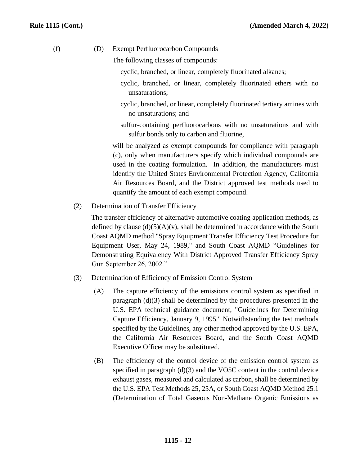(f) (D) Exempt Perfluorocarbon Compounds

The following classes of compounds:

- cyclic, branched, or linear, completely fluorinated alkanes;
- cyclic, branched, or linear, completely fluorinated ethers with no unsaturations;
- cyclic, branched, or linear, completely fluorinated tertiary amines with no unsaturations; and
- sulfur-containing perfluorocarbons with no unsaturations and with sulfur bonds only to carbon and fluorine,

will be analyzed as exempt compounds for compliance with paragraph (c), only when manufacturers specify which individual compounds are used in the coating formulation. In addition, the manufacturers must identify the United States Environmental Protection Agency, California Air Resources Board, and the District approved test methods used to quantify the amount of each exempt compound.

(2) Determination of Transfer Efficiency

The transfer efficiency of alternative automotive coating application methods, as defined by clause  $(d)(5)(A)(v)$ , shall be determined in accordance with the South Coast AQMD method "Spray Equipment Transfer Efficiency Test Procedure for Equipment User, May 24, 1989," and South Coast AQMD "Guidelines for Demonstrating Equivalency With District Approved Transfer Efficiency Spray Gun September 26, 2002."

- (3) Determination of Efficiency of Emission Control System
	- (A) The capture efficiency of the emissions control system as specified in paragraph (d)(3) shall be determined by the procedures presented in the U.S. EPA technical guidance document, "Guidelines for Determining Capture Efficiency, January 9, 1995." Notwithstanding the test methods specified by the Guidelines, any other method approved by the U.S. EPA, the California Air Resources Board, and the South Coast AQMD Executive Officer may be substituted.
	- (B) The efficiency of the control device of the emission control system as specified in paragraph (d)(3) and the VO5C content in the control device exhaust gases, measured and calculated as carbon, shall be determined by the U.S. EPA Test Methods 25, 25A, or South Coast AQMD Method 25.1 (Determination of Total Gaseous Non-Methane Organic Emissions as